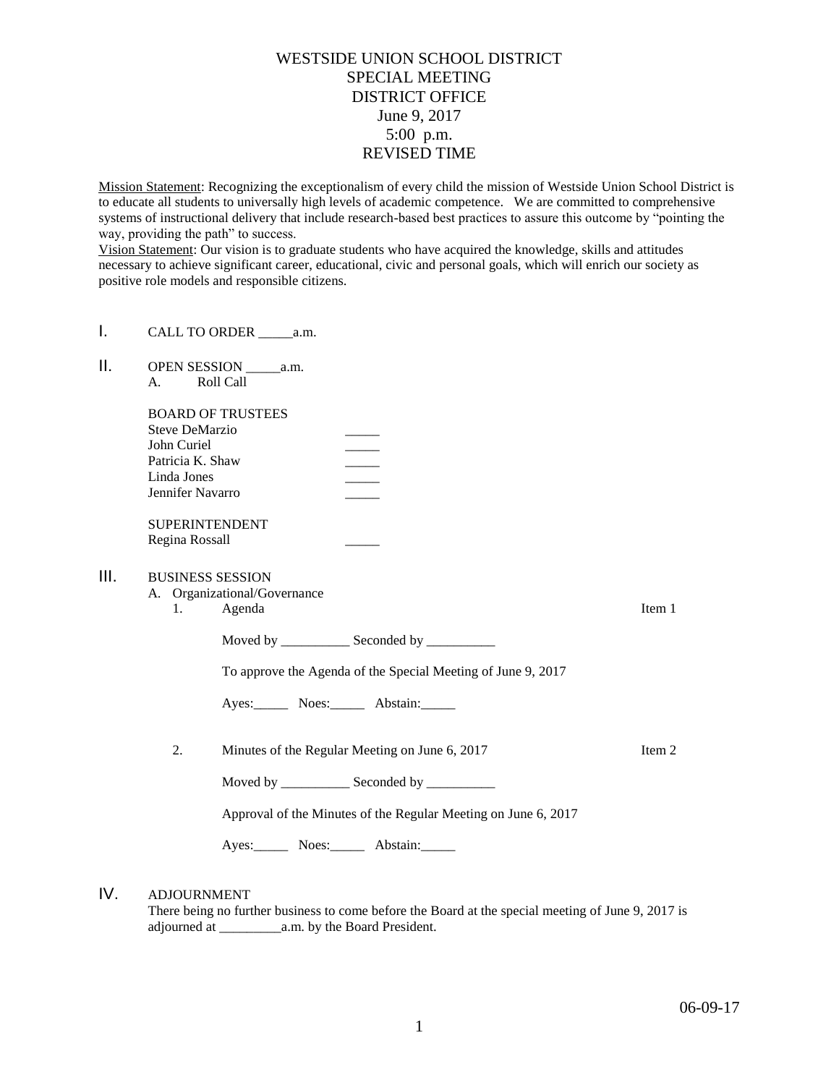## WESTSIDE UNION SCHOOL DISTRICT SPECIAL MEETING DISTRICT OFFICE June 9, 2017 5:00 p.m. REVISED TIME

Mission Statement: Recognizing the exceptionalism of every child the mission of Westside Union School District is to educate all students to universally high levels of academic competence. We are committed to comprehensive systems of instructional delivery that include research-based best practices to assure this outcome by "pointing the way, providing the path" to success.

Vision Statement: Our vision is to graduate students who have acquired the knowledge, skills and attitudes necessary to achieve significant career, educational, civic and personal goals, which will enrich our society as positive role models and responsible citizens.

- I. CALL TO ORDER \_\_\_\_\_\_\_ a.m.
- II. OPEN SESSION \_\_\_\_\_a.m. A. Roll Call

| <b>BOARD OF TRUSTEES</b> |  |
|--------------------------|--|
| Steve DeMarzio           |  |
| John Curiel              |  |
| Patricia K. Shaw         |  |
| Linda Jones              |  |
| Jennifer Navarro         |  |
|                          |  |

SUPERINTENDENT Regina Rossall \_\_\_\_\_

## III. BUSINESS SESSION

- A. Organizational/Governance
	- 1. Agenda Item 1

Moved by \_\_\_\_\_\_\_\_\_\_ Seconded by \_\_\_\_\_\_\_\_\_\_

To approve the Agenda of the Special Meeting of June 9, 2017

Ayes: Noes: Noes: Abstain:

2. Minutes of the Regular Meeting on June 6, 2017 Item 2

Moved by \_\_\_\_\_\_\_\_\_\_\_\_\_ Seconded by \_\_\_\_\_\_\_\_\_\_\_

Approval of the Minutes of the Regular Meeting on June 6, 2017

Ayes: Noes: Abstain:

## IV. ADJOURNMENT

There being no further business to come before the Board at the special meeting of June 9, 2017 is adjourned at \_\_\_\_\_\_\_\_\_a.m. by the Board President.